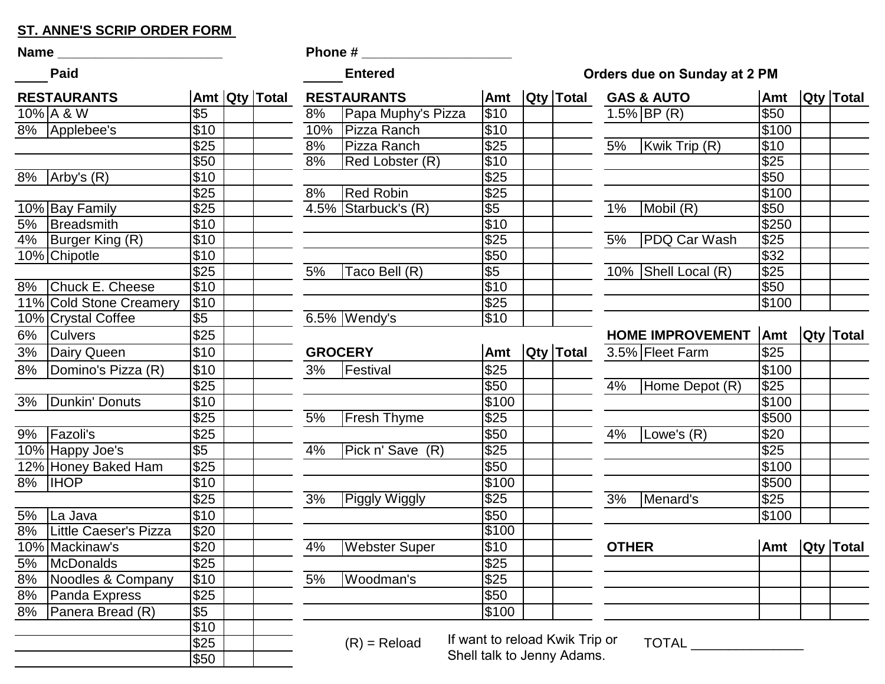## **ST. ANNE'S SCRIP ORDER FORM**

| Name ______ |                         |                  |  |               | <b>Phone #</b> |                      |                  |  |  |  |
|-------------|-------------------------|------------------|--|---------------|----------------|----------------------|------------------|--|--|--|
|             | <b>Paid</b>             |                  |  |               |                | <b>Entered</b>       |                  |  |  |  |
|             | <b>RESTAURANTS</b>      |                  |  | Amt Qty Total |                | <b>RESTAURANTS</b>   | <b>Amt</b>       |  |  |  |
|             | $10\%$ A & W            | \$5              |  |               | 8%             | Papa Muphy's Pizza   | \$10             |  |  |  |
|             | 8%   Applebee's         | \$10             |  |               | 10%            | Pizza Ranch          | \$10             |  |  |  |
|             |                         | \$25             |  |               | 8%             | Pizza Ranch          | \$25             |  |  |  |
|             |                         | \$50             |  |               | 8%             | Red Lobster (R)      | \$10             |  |  |  |
|             | $8\%$  Arby's $(R)$     | \$10             |  |               |                |                      | \$25             |  |  |  |
|             |                         | \$25             |  |               | 8%             | <b>Red Robin</b>     | \$25             |  |  |  |
|             | 10% Bay Family          | \$25             |  |               |                | 4.5% Starbuck's (R)  | $\overline{\$5}$ |  |  |  |
| 5%          | <b>Breadsmith</b>       | \$10             |  |               |                |                      | \$10             |  |  |  |
|             | 4%   Burger King (R)    | \$10             |  |               |                |                      | \$25             |  |  |  |
|             | 10% Chipotle            | \$10             |  |               |                |                      | \$50             |  |  |  |
|             |                         | \$25             |  |               | 5%             | Taco Bell (R)        | $\sqrt[6]{5}$    |  |  |  |
|             | 8% Chuck E. Cheese      | \$10             |  |               |                |                      | \$10             |  |  |  |
|             | 11% Cold Stone Creamery | \$10             |  |               |                |                      | \$25             |  |  |  |
|             | 10% Crystal Coffee      | \$5              |  |               |                | $6.5\%$ Wendy's      | \$10             |  |  |  |
| 6%          | <b>Culvers</b>          | \$25             |  |               |                |                      |                  |  |  |  |
| 3%          | Dairy Queen             | \$10             |  |               |                | <b>GROCERY</b>       | Amt              |  |  |  |
| 8%          | Domino's Pizza (R)      | \$10             |  |               | 3%             | Festival             | \$25             |  |  |  |
|             |                         | \$25             |  |               |                |                      | \$50             |  |  |  |
|             | 3%   Dunkin' Donuts     | \$10             |  |               |                |                      | \$100            |  |  |  |
|             |                         | $\overline{$25}$ |  |               | 5%             | <b>Fresh Thyme</b>   | \$25             |  |  |  |
|             | 9%   Fazoli's           | \$25             |  |               |                |                      | \$50             |  |  |  |
|             | 10% Happy Joe's         | $\sqrt[6]{5}$    |  |               | 4%             | Pick n' Save (R)     | \$25             |  |  |  |
|             | 12% Honey Baked Ham     | \$25             |  |               |                |                      | \$50             |  |  |  |
|             | 8%   IHOP               | \$10             |  |               |                |                      | \$100            |  |  |  |
|             |                         | \$25             |  |               | 3%             | Piggly Wiggly        | \$25             |  |  |  |
| 5%          | La Java                 | \$10             |  |               |                |                      | \$50             |  |  |  |
| 8%          | Little Caeser's Pizza   | $\overline{$}20$ |  |               |                |                      | \$100            |  |  |  |
|             | 10% Mackinaw's          | \$20             |  |               | 4%             | <b>Webster Super</b> | $\overline{$10}$ |  |  |  |
| 5%          | <b>McDonalds</b>        | \$25             |  |               |                |                      | \$25             |  |  |  |
| 8%          | Noodles & Company       | \$10             |  |               | 5%             | Woodman's            | \$25             |  |  |  |
| 8%          | Panda Express           | \$25             |  |               |                |                      | \$50             |  |  |  |
| 8%          | Panera Bread (R)        | \$5              |  |               |                |                      | \$100            |  |  |  |
|             |                         | \$10             |  |               |                |                      |                  |  |  |  |
|             |                         | \$25             |  |               |                | $(R)$ = Reload       | If want to re    |  |  |  |
|             |                         | \$50             |  |               |                |                      | Shell talk to    |  |  |  |

|                  | Paid                         |                  |               |                | Entered                |                  |                  |              | Orders due on Sunday at 2 PM |              |                  |
|------------------|------------------------------|------------------|---------------|----------------|------------------------|------------------|------------------|--------------|------------------------------|--------------|------------------|
|                  | <b>RESTAURANTS</b>           |                  | Amt Qty Total |                | <b>RESTAURANTS</b>     | Amt              | <b>Qty Total</b> |              | <b>GAS &amp; AUTO</b>        | <b>Amt</b>   | <b>Qty Total</b> |
|                  | 10% A & W                    | $\overline{\$5}$ |               | 8%             | Papa Muphy's Pizza     | \$10             |                  |              | $1.5\%$ BP (R)               | \$50         |                  |
|                  | 8% Applebee's                | \$10             |               | 10%            | Pizza Ranch            | \$10             |                  |              |                              | \$100        |                  |
|                  |                              | $\overline{$25}$ |               | 8%             | Pizza Ranch            | \$25             |                  | 5%           | Kwik Trip (R)                | $\sqrt{$10}$ |                  |
|                  |                              | \$50             |               | 8%             | Red Lobster (R)        | \$10             |                  |              |                              | $\sqrt{$25}$ |                  |
|                  | $\overline{8\%}$ Arby's (R)  | \$10             |               |                |                        | $\sqrt{$25}$     |                  |              |                              | $\sqrt{$50}$ |                  |
|                  |                              | $\overline{$25}$ |               | 8%             | <b>Red Robin</b>       | $\sqrt{$25}$     |                  |              |                              | \$100        |                  |
|                  | 10% Bay Family               | $\overline{$25}$ |               |                | $4.5\%$ Starbuck's (R) | $\sqrt[6]{5}$    |                  | 1%           | Mobil (R)                    | $\sqrt{$50}$ |                  |
| 5%               | <b>Breadsmith</b>            | $\overline{$10}$ |               |                |                        | \$10             |                  |              |                              | \$250        |                  |
| 4%               | Burger King $(R)$            | \$10             |               |                |                        | $\sqrt{$25}$     |                  | 5%           | <b>PDQ Car Wash</b>          | \$25         |                  |
|                  | 10% Chipotle                 | \$10             |               |                |                        | \$50             |                  |              |                              | $\sqrt{$32}$ |                  |
|                  |                              | \$25             |               | 5%             | Taco Bell (R)          | $\overline{\$5}$ |                  |              | 10% Shell Local (R)          | $\sqrt{$25}$ |                  |
| $8\%$            | Chuck E. Cheese              | \$10             |               |                |                        | \$10             |                  |              |                              | $\sqrt{$50}$ |                  |
|                  | 11% Cold Stone Creamery      | \$10             |               |                |                        | \$25             |                  |              |                              | \$100        |                  |
|                  | 10% Crystal Coffee           | $\overline{\$5}$ |               |                | $6.5\%$ Wendy's        | \$10             |                  |              |                              |              |                  |
| 6%               | <b>Culvers</b>               | \$25             |               |                |                        |                  |                  |              | <b>HOME IMPROVEMENT</b>      | Amt          | <b>Qty Total</b> |
| 3%               | Dairy Queen                  | \$10             |               | <b>GROCERY</b> |                        | Amt              | <b>Qty Total</b> |              | 3.5% Fleet Farm              | \$25         |                  |
| 8%               | Domino's Pizza (R)           | \$10             |               | 3%             | Festival               | \$25             |                  |              |                              | \$100        |                  |
|                  |                              | \$25             |               |                |                        | \$50             |                  | 4%           | Home Depot (R)               | \$25         |                  |
| $\overline{3\%}$ | Dunkin' Donuts               | \$10             |               |                |                        | \$100            |                  |              |                              | \$100        |                  |
|                  |                              | \$25             |               | 5%             | <b>Fresh Thyme</b>     | \$25             |                  |              |                              | \$500        |                  |
| $9\%$            | Fazoli's                     | $\sqrt{$25}$     |               |                |                        | \$50             |                  | 4%           | Lowe's (R)                   | \$20         |                  |
|                  | 10% Happy Joe's              | $\overline{\$5}$ |               | 4%             | Pick n' Save (R)       | \$25             |                  |              |                              | $\sqrt{$25}$ |                  |
|                  | 12% Honey Baked Ham          | $\overline{$25}$ |               |                |                        | \$50             |                  |              |                              | \$100        |                  |
| 8%               | <b>IIHOP</b>                 | \$10             |               |                |                        | \$100            |                  |              |                              | \$500        |                  |
|                  |                              | \$25             |               | 3%             | Piggly Wiggly          | \$25             |                  | 3%           | Menard's                     | \$25         |                  |
| 5%               | La Java                      | \$10             |               |                |                        | \$50             |                  |              |                              | \$100        |                  |
| $8\%$            | <b>Little Caeser's Pizza</b> | \$20             |               |                |                        | \$100            |                  |              |                              |              |                  |
| 10%              | Mackinaw's                   | \$20             |               | 4%             | <b>Webster Super</b>   | \$10             |                  | <b>OTHER</b> |                              | Amt          | $ Q$ ty   Total  |
| 5%               | McDonalds                    | \$25             |               |                |                        | $\sqrt{$25}$     |                  |              |                              |              |                  |
| 8%               | Noodles & Company            | \$10             |               | 5%             | Woodman's              | \$25             |                  |              |                              |              |                  |
| 8%               | Panda Express                | $\overline{$25}$ |               |                |                        | \$50             |                  |              |                              |              |                  |
| $8\%$            | Panera Bread (R)             | $\overline{$5}$  |               |                |                        | \$100            |                  |              |                              |              |                  |
|                  |                              | $\overline{$10}$ |               |                |                        |                  |                  |              |                              |              |                  |

## **Orders due on Sunday at 2 PM**

|    | <b>GAS &amp; AUTO</b> | Amt                                   |                           | <b>Qty Total</b> |
|----|-----------------------|---------------------------------------|---------------------------|------------------|
|    | 1.5% BP $(R)$         | \$50                                  |                           |                  |
|    |                       | \$100                                 |                           |                  |
| 5% | Kwik Trip (R)         | \$10                                  |                           |                  |
|    |                       | \$25                                  |                           |                  |
|    |                       | \$50                                  |                           |                  |
|    |                       | \$100                                 |                           |                  |
| 1% | Mobil (R)             | \$50                                  |                           |                  |
|    |                       | \$250                                 |                           |                  |
| 5% | <b>PDQ Car Wash</b>   | \$25                                  |                           |                  |
|    |                       | \$32                                  |                           |                  |
|    | 10%   Shell Local (R) | \$25                                  |                           |                  |
|    |                       | \$50                                  |                           |                  |
|    |                       | \$100                                 |                           |                  |
|    |                       | <b>The Community of the Community</b> | <b>The Common Service</b> | ш                |

|    | <b>HOME IMPROVEMENT</b> | <b>Amt</b> | Qty Total |
|----|-------------------------|------------|-----------|
|    | 3.5% Fleet Farm         | \$25       |           |
|    |                         | \$100      |           |
| 4% | Home Depot (R)          | \$25       |           |
|    |                         | \$100      |           |
|    |                         | \$500      |           |
| 4% | Lowe's (R)              | \$20       |           |
|    |                         | \$25       |           |
|    |                         | \$100      |           |
|    |                         | \$500      |           |
| 3% | Menard's                | \$25       |           |
|    |                         | \$100      |           |

| <b>OTHER</b> | Amt Qty Total |  |
|--------------|---------------|--|
|              |               |  |
|              |               |  |
|              |               |  |
|              |               |  |

 $$25$   $\sqrt{(R)}$  = Reload If want to reload Kwik Trip or  $\sqrt{A}$  TOTAL \_\_\_\_\_\_\_\_\_\_\_\_ Shell talk to Jenny Adams.